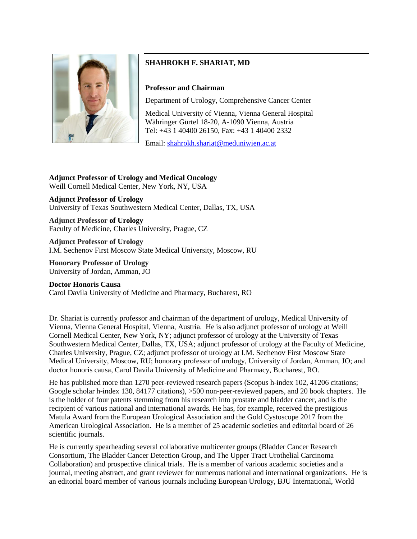

## **SHAHROKH F. SHARIAT, MD**

## **Professor and Chairman**

Department of Urology, Comprehensive Cancer Center

Medical University of Vienna, Vienna General Hospital Währinger Gürtel 18-20, A-1090 Vienna, Austria Tel: +43 1 40400 26150, Fax: +43 1 40400 2332

Email: [shahrokh.shariat@meduniwien.ac.at](mailto:shahrokh.shariat@meduniwien.ac.at)

## **Adjunct Professor of Urology and Medical Oncology**

Weill Cornell Medical Center, New York, NY, USA **Adjunct Professor of Urology**

University of Texas Southwestern Medical Center, Dallas, TX, USA

**Adjunct Professor of Urology** Faculty of Medicine, Charles University, Prague, CZ

**Adjunct Professor of Urology** I.M. Sechenov First Moscow State Medical University, Moscow, RU

**Honorary Professor of Urology** University of Jordan, Amman, JO

**Doctor Honoris Causa** Carol Davila University of Medicine and Pharmacy, Bucharest, RO

Dr. Shariat is currently professor and chairman of the department of urology, Medical University of Vienna, Vienna General Hospital, Vienna, Austria. He is also adjunct professor of urology at Weill Cornell Medical Center, New York, NY; adjunct professor of urology at the University of Texas Southwestern Medical Center, Dallas, TX, USA; adjunct professor of urology at the Faculty of Medicine, Charles University, Prague, CZ; adjunct professor of urology at I.M. Sechenov First Moscow State Medical University, Moscow, RU; honorary professor of urology, University of Jordan, Amman, JO; and doctor honoris causa, Carol Davila University of Medicine and Pharmacy, Bucharest, RO.

He has published more than 1270 peer-reviewed research papers (Scopus h-index 102, 41206 citations; Google scholar h-index 130, 84177 citations), >500 non-peer-reviewed papers, and 20 book chapters. He is the holder of four patents stemming from his research into prostate and bladder cancer, and is the recipient of various national and international awards. He has, for example, received the prestigious Matula Award from the European Urological Association and the Gold Cystoscope 2017 from the American Urological Association. He is a member of 25 academic societies and editorial board of 26 scientific journals.

He is currently spearheading several collaborative multicenter groups (Bladder Cancer Research Consortium, The Bladder Cancer Detection Group, and The Upper Tract Urothelial Carcinoma Collaboration) and prospective clinical trials. He is a member of various academic societies and a journal, meeting abstract, and grant reviewer for numerous national and international organizations. He is an editorial board member of various journals including European Urology, BJU International, World